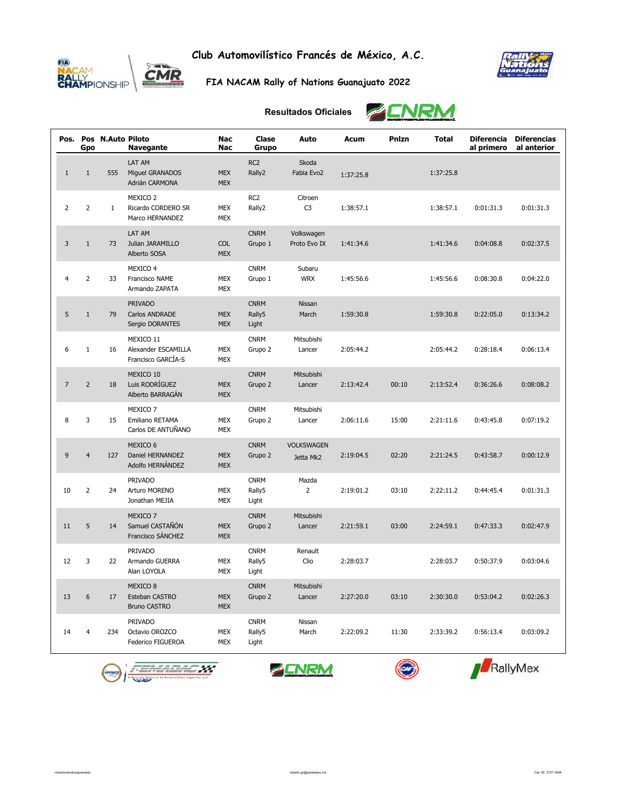

**Club Automovilístico Francés de México, A.C.**



**FIA NACAM Rally of Nations Guanajuato 2022**

## **Resultados Oficiales**

**ENRM** 

| Pos.           | Gpo            | Pos N.Auto Piloto | <b>Navegante</b>                                             | <b>Nac</b><br>Nac        | Clase<br>Grupo                 | Auto                           | Acum      | Pnlzn | <b>Total</b> | <b>Diferencia</b><br>al primero | <b>Diferencias</b><br>al anterior |
|----------------|----------------|-------------------|--------------------------------------------------------------|--------------------------|--------------------------------|--------------------------------|-----------|-------|--------------|---------------------------------|-----------------------------------|
| $1\,$          | $1\,$          | 555               | <b>LAT AM</b><br>Miguel GRANADOS<br>Adrián CARMONA           | <b>MEX</b><br><b>MEX</b> | RC <sub>2</sub><br>Rally2      | Skoda<br>Fabia Evo2            | 1:37:25.8 |       | 1:37:25.8    |                                 |                                   |
| $\overline{2}$ | $\overline{2}$ | $\mathbf{1}$      | MEXICO <sub>2</sub><br>Ricardo CORDERO SR<br>Marco HERNANDEZ | <b>MEX</b><br><b>MEX</b> | RC <sub>2</sub><br>Rally2      | Citroen<br>C <sub>3</sub>      | 1:38:57.1 |       | 1:38:57.1    | 0:01:31.3                       | 0:01:31.3                         |
| 3              | $1\,$          | 73                | LAT AM<br>Julian JARAMILLO<br>Alberto SOSA                   | <b>COL</b><br><b>MEX</b> | <b>CNRM</b><br>Grupo 1         | Volkswagen<br>Proto Evo IX     | 1:41:34.6 |       | 1:41:34.6    | 0:04:08.8                       | 0:02:37.5                         |
| $\overline{4}$ | $\overline{2}$ | 33                | MEXICO 4<br>Francisco NAME<br>Armando ZAPATA                 | <b>MEX</b><br><b>MEX</b> | <b>CNRM</b><br>Grupo 1         | Subaru<br><b>WRX</b>           | 1:45:56.6 |       | 1:45:56.6    | 0:08:30.8                       | 0:04:22.0                         |
| 5              | $1\,$          | 79                | <b>PRIVADO</b><br><b>Carlos ANDRADE</b><br>Sergio DORANTES   | <b>MEX</b><br><b>MEX</b> | <b>CNRM</b><br>Rally5<br>Light | Nissan<br>March                | 1:59:30.8 |       | 1:59:30.8    | 0:22:05.0                       | 0:13:34.2                         |
| 6              | $\mathbf{1}$   | 16                | MEXICO 11<br>Alexander ESCAMILLA<br>Francisco GARCÍA-S       | <b>MEX</b><br><b>MEX</b> | <b>CNRM</b><br>Grupo 2         | Mitsubishi<br>Lancer           | 2:05:44.2 |       | 2:05:44.2    | 0:28:18.4                       | 0:06:13.4                         |
| $\overline{7}$ | $\overline{2}$ | 18                | MEXICO 10<br>Luis RODRÍGUEZ<br>Alberto BARRAGÁN              | <b>MEX</b><br><b>MEX</b> | <b>CNRM</b><br>Grupo 2         | Mitsubishi<br>Lancer           | 2:13:42.4 | 00:10 | 2:13:52.4    | 0:36:26.6                       | 0:08:08.2                         |
| 8              | 3              | 15                | MEXICO 7<br>Emiliano RETAMA<br>Carlos DE ANTUÑANO            | <b>MEX</b><br><b>MEX</b> | <b>CNRM</b><br>Grupo 2         | Mitsubishi<br>Lancer           | 2:06:11.6 | 15:00 | 2:21:11.6    | 0:43:45.8                       | 0:07:19.2                         |
| 9              | $\overline{4}$ | 127               | MEXICO 6<br>Daniel HERNANDEZ<br>Adolfo HERNÁNDEZ             | <b>MEX</b><br><b>MEX</b> | <b>CNRM</b><br>Grupo 2         | <b>VOLKSWAGEN</b><br>Jetta Mk2 | 2:19:04.5 | 02:20 | 2:21:24.5    | 0:43:58.7                       | 0:00:12.9                         |
| 10             | $\overline{2}$ | 24                | PRIVADO<br>Arturo MORENO<br>Jonathan MEJIA                   | <b>MEX</b><br><b>MEX</b> | <b>CNRM</b><br>Rally5<br>Light | Mazda<br>2                     | 2:19:01.2 | 03:10 | 2:22:11.2    | 0:44:45.4                       | 0:01:31.3                         |
| 11             | 5              | 14                | MEXICO 7<br>Samuel CASTAÑÓN<br>Francisco SÁNCHEZ             | <b>MEX</b><br><b>MEX</b> | <b>CNRM</b><br>Grupo 2         | Mitsubishi<br>Lancer           | 2:21:59.1 | 03:00 | 2:24:59.1    | 0:47:33.3                       | 0:02:47.9                         |
| 12             | 3              | 22                | <b>PRIVADO</b><br>Armando GUERRA<br>Alan LOYOLA              | MEX<br><b>MEX</b>        | <b>CNRM</b><br>Rally5<br>Light | Renault<br>Clio                | 2:28:03.7 |       | 2:28:03.7    | 0:50:37.9                       | 0:03:04.6                         |
| 13             | 6              | 17                | MEXICO <sub>8</sub><br>Esteban CASTRO<br><b>Bruno CASTRO</b> | <b>MEX</b><br><b>MEX</b> | <b>CNRM</b><br>Grupo 2         | Mitsubishi<br>Lancer           | 2:27:20.0 | 03:10 | 2:30:30.0    | 0:53:04.2                       | 0:02:26.3                         |
| 14             | $\overline{4}$ | 234               | <b>PRIVADO</b><br>Octavio OROZCO<br>Federico FIGUEROA        | <b>MEX</b><br><b>MEX</b> | <b>CNRM</b><br>Rally5<br>Light | Nissan<br>March                | 2:22:09.2 | 11:30 | 2:33:39.2    | 0:56:13.4                       | 0:03:09.2                         |